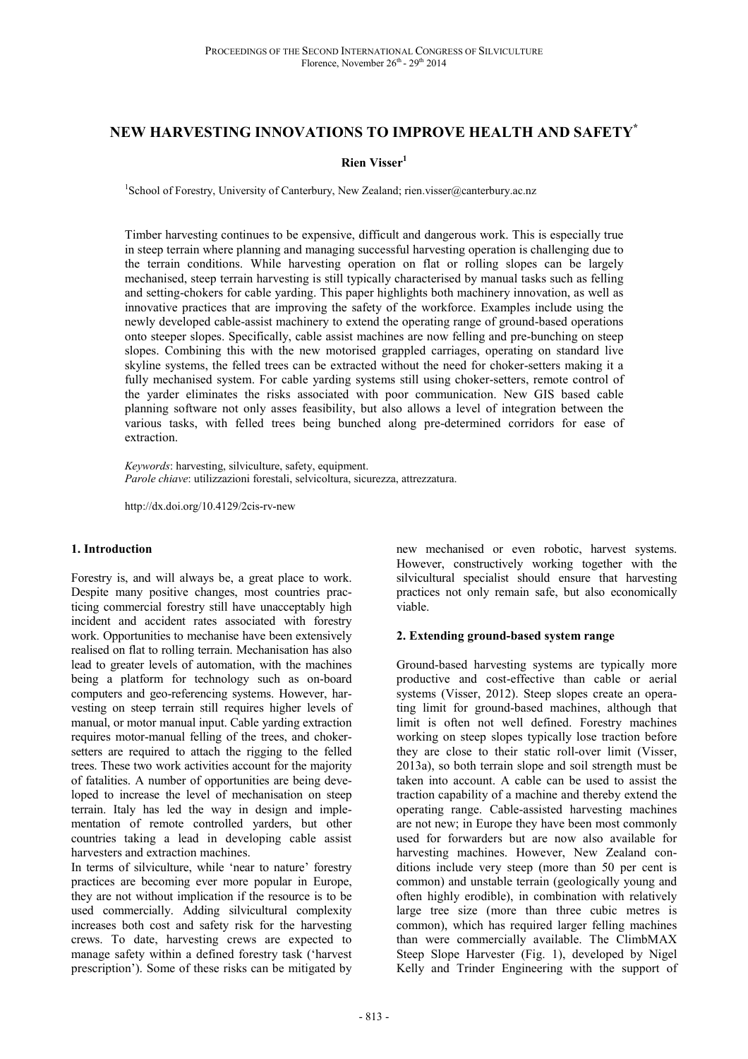# **NEW HARVESTING INNOVATIONS TO IMPROVE HEALTH AND SAFETY\***

# **Rien Visser<sup>1</sup>**

<sup>1</sup>School of Forestry, University of Canterbury, New Zealand; rien.visser@canterbury.ac.nz

Timber harvesting continues to be expensive, difficult and dangerous work. This is especially true in steep terrain where planning and managing successful harvesting operation is challenging due to the terrain conditions. While harvesting operation on flat or rolling slopes can be largely mechanised, steep terrain harvesting is still typically characterised by manual tasks such as felling and setting-chokers for cable yarding. This paper highlights both machinery innovation, as well as innovative practices that are improving the safety of the workforce. Examples include using the newly developed cable-assist machinery to extend the operating range of ground-based operations onto steeper slopes. Specifically, cable assist machines are now felling and pre-bunching on steep slopes. Combining this with the new motorised grappled carriages, operating on standard live skyline systems, the felled trees can be extracted without the need for choker-setters making it a fully mechanised system. For cable yarding systems still using choker-setters, remote control of the yarder eliminates the risks associated with poor communication. New GIS based cable planning software not only asses feasibility, but also allows a level of integration between the various tasks, with felled trees being bunched along pre-determined corridors for ease of extraction.

*Keywords*: harvesting, silviculture, safety, equipment. *Parole chiave*: utilizzazioni forestali, selvicoltura, sicurezza, attrezzatura.

http://dx.doi.org/10.4129/2cis-rv-new

### **1. Introduction**

Forestry is, and will always be, a great place to work. Despite many positive changes, most countries practicing commercial forestry still have unacceptably high incident and accident rates associated with forestry work. Opportunities to mechanise have been extensively realised on flat to rolling terrain. Mechanisation has also lead to greater levels of automation, with the machines being a platform for technology such as on-board computers and geo-referencing systems. However, harvesting on steep terrain still requires higher levels of manual, or motor manual input. Cable yarding extraction requires motor-manual felling of the trees, and chokersetters are required to attach the rigging to the felled trees. These two work activities account for the majority of fatalities. A number of opportunities are being developed to increase the level of mechanisation on steep terrain. Italy has led the way in design and implementation of remote controlled yarders, but other countries taking a lead in developing cable assist harvesters and extraction machines.

In terms of silviculture, while 'near to nature' forestry practices are becoming ever more popular in Europe, they are not without implication if the resource is to be used commercially. Adding silvicultural complexity increases both cost and safety risk for the harvesting crews. To date, harvesting crews are expected to manage safety within a defined forestry task ('harvest prescription'). Some of these risks can be mitigated by

new mechanised or even robotic, harvest systems. However, constructively working together with the silvicultural specialist should ensure that harvesting practices not only remain safe, but also economically viable.

### **2. Extending ground-based system range**

Ground-based harvesting systems are typically more productive and cost-effective than cable or aerial systems (Visser, 2012). Steep slopes create an operating limit for ground-based machines, although that limit is often not well defined. Forestry machines working on steep slopes typically lose traction before they are close to their static roll-over limit (Visser, 2013a), so both terrain slope and soil strength must be taken into account. A cable can be used to assist the traction capability of a machine and thereby extend the operating range. Cable-assisted harvesting machines are not new; in Europe they have been most commonly used for forwarders but are now also available for harvesting machines. However, New Zealand conditions include very steep (more than 50 per cent is common) and unstable terrain (geologically young and often highly erodible), in combination with relatively large tree size (more than three cubic metres is common), which has required larger felling machines than were commercially available. The ClimbMAX Steep Slope Harvester (Fig. 1), developed by Nigel Kelly and Trinder Engineering with the support of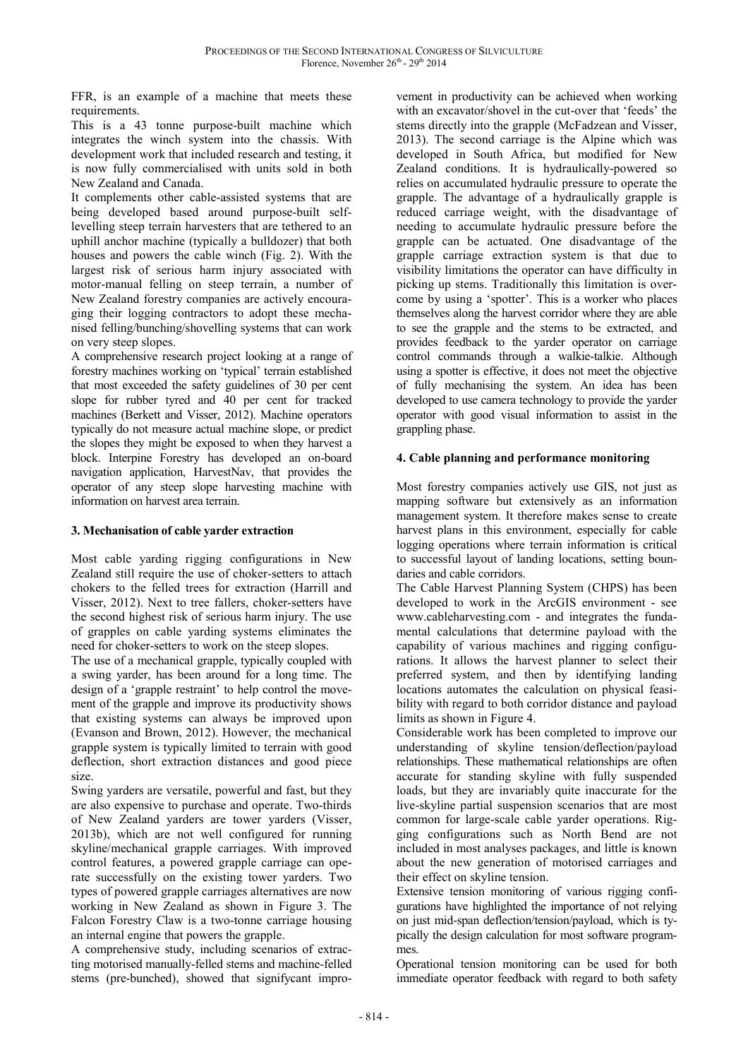FFR, is an example of a machine that meets these requirements.

This is a 43 tonne purpose-built machine which integrates the winch system into the chassis. With development work that included research and testing, it is now fully commercialised with units sold in both New Zealand and Canada.

It complements other cable-assisted systems that are being developed based around purpose-built selflevelling steep terrain harvesters that are tethered to an uphill anchor machine (typically a bulldozer) that both houses and powers the cable winch (Fig. 2). With the largest risk of serious harm injury associated with motor-manual felling on steep terrain, a number of New Zealand forestry companies are actively encouraging their logging contractors to adopt these mechanised felling/bunching/shovelling systems that can work on very steep slopes.

A comprehensive research project looking at a range of forestry machines working on 'typical' terrain established that most exceeded the safety guidelines of 30 per cent slope for rubber tyred and 40 per cent for tracked machines (Berkett and Visser, 2012). Machine operators typically do not measure actual machine slope, or predict the slopes they might be exposed to when they harvest a block. Interpine Forestry has developed an on-board navigation application, HarvestNav, that provides the operator of any steep slope harvesting machine with information on harvest area terrain.

# **3. Mechanisation of cable yarder extraction**

Most cable yarding rigging configurations in New Zealand still require the use of choker-setters to attach chokers to the felled trees for extraction (Harrill and Visser, 2012). Next to tree fallers, choker-setters have the second highest risk of serious harm injury. The use of grapples on cable yarding systems eliminates the need for choker-setters to work on the steep slopes.

The use of a mechanical grapple, typically coupled with a swing yarder, has been around for a long time. The design of a 'grapple restraint' to help control the movement of the grapple and improve its productivity shows that existing systems can always be improved upon (Evanson and Brown, 2012). However, the mechanical grapple system is typically limited to terrain with good deflection, short extraction distances and good piece size.

Swing yarders are versatile, powerful and fast, but they are also expensive to purchase and operate. Two-thirds of New Zealand yarders are tower yarders (Visser, 2013b), which are not well configured for running skyline/mechanical grapple carriages. With improved control features, a powered grapple carriage can operate successfully on the existing tower yarders. Two types of powered grapple carriages alternatives are now working in New Zealand as shown in Figure 3. The Falcon Forestry Claw is a two-tonne carriage housing an internal engine that powers the grapple.

A comprehensive study, including scenarios of extracting motorised manually-felled stems and machine-felled stems (pre-bunched), showed that signifycant impro-

vement in productivity can be achieved when working with an excavator/shovel in the cut-over that 'feeds' the stems directly into the grapple (McFadzean and Visser, 2013). The second carriage is the Alpine which was developed in South Africa, but modified for New Zealand conditions. It is hydraulically-powered so relies on accumulated hydraulic pressure to operate the grapple. The advantage of a hydraulically grapple is reduced carriage weight, with the disadvantage of needing to accumulate hydraulic pressure before the grapple can be actuated. One disadvantage of the grapple carriage extraction system is that due to visibility limitations the operator can have difficulty in picking up stems. Traditionally this limitation is overcome by using a 'spotter'. This is a worker who places themselves along the harvest corridor where they are able to see the grapple and the stems to be extracted, and provides feedback to the yarder operator on carriage control commands through a walkie-talkie. Although using a spotter is effective, it does not meet the objective of fully mechanising the system. An idea has been developed to use camera technology to provide the yarder operator with good visual information to assist in the grappling phase.

# **4. Cable planning and performance monitoring**

Most forestry companies actively use GIS, not just as mapping software but extensively as an information management system. It therefore makes sense to create harvest plans in this environment, especially for cable logging operations where terrain information is critical to successful layout of landing locations, setting boundaries and cable corridors.

The Cable Harvest Planning System (CHPS) has been developed to work in the ArcGIS environment - see www.cableharvesting.com - and integrates the fundamental calculations that determine payload with the capability of various machines and rigging configurations. It allows the harvest planner to select their preferred system, and then by identifying landing locations automates the calculation on physical feasibility with regard to both corridor distance and payload limits as shown in Figure 4.

Considerable work has been completed to improve our understanding of skyline tension/deflection/payload relationships. These mathematical relationships are often accurate for standing skyline with fully suspended loads, but they are invariably quite inaccurate for the live-skyline partial suspension scenarios that are most common for large-scale cable yarder operations. Rigging configurations such as North Bend are not included in most analyses packages, and little is known about the new generation of motorised carriages and their effect on skyline tension.

Extensive tension monitoring of various rigging configurations have highlighted the importance of not relying on just mid-span deflection/tension/payload, which is typically the design calculation for most software programmes.

Operational tension monitoring can be used for both immediate operator feedback with regard to both safety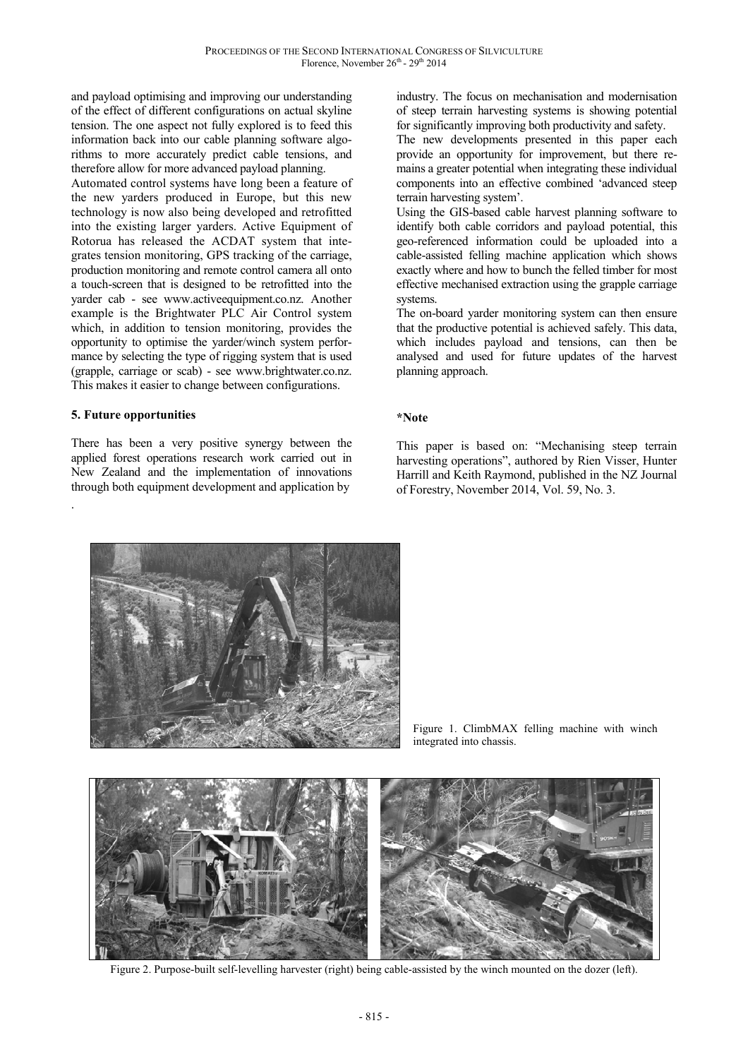and payload optimising and improving our understanding of the effect of different configurations on actual skyline tension. The one aspect not fully explored is to feed this information back into our cable planning software algorithms to more accurately predict cable tensions, and therefore allow for more advanced payload planning.

Automated control systems have long been a feature of the new yarders produced in Europe, but this new technology is now also being developed and retrofitted into the existing larger yarders. Active Equipment of Rotorua has released the ACDAT system that integrates tension monitoring, GPS tracking of the carriage, production monitoring and remote control camera all onto a touch-screen that is designed to be retrofitted into the yarder cab - see www.activeequipment.co.nz. Another example is the Brightwater PLC Air Control system which, in addition to tension monitoring, provides the opportunity to optimise the yarder/winch system performance by selecting the type of rigging system that is used (grapple, carriage or scab) - see www.brightwater.co.nz. This makes it easier to change between configurations.

# **5. Future opportunities**

.

There has been a very positive synergy between the applied forest operations research work carried out in New Zealand and the implementation of innovations through both equipment development and application by

industry. The focus on mechanisation and modernisation of steep terrain harvesting systems is showing potential for significantly improving both productivity and safety.

The new developments presented in this paper each provide an opportunity for improvement, but there remains a greater potential when integrating these individual components into an effective combined 'advanced steep terrain harvesting system'.

Using the GIS-based cable harvest planning software to identify both cable corridors and payload potential, this geo-referenced information could be uploaded into a cable-assisted felling machine application which shows exactly where and how to bunch the felled timber for most effective mechanised extraction using the grapple carriage systems.

The on-board yarder monitoring system can then ensure that the productive potential is achieved safely. This data, which includes payload and tensions, can then be analysed and used for future updates of the harvest planning approach.

### **\*Note**

This paper is based on: "Mechanising steep terrain harvesting operations", authored by Rien Visser, Hunter Harrill and Keith Raymond, published in the NZ Journal of Forestry, November 2014, Vol. 59, No. 3.



Figure 1. ClimbMAX felling machine with winch integrated into chassis.



Figure 2. Purpose-built self-levelling harvester (right) being cable-assisted by the winch mounted on the dozer (left).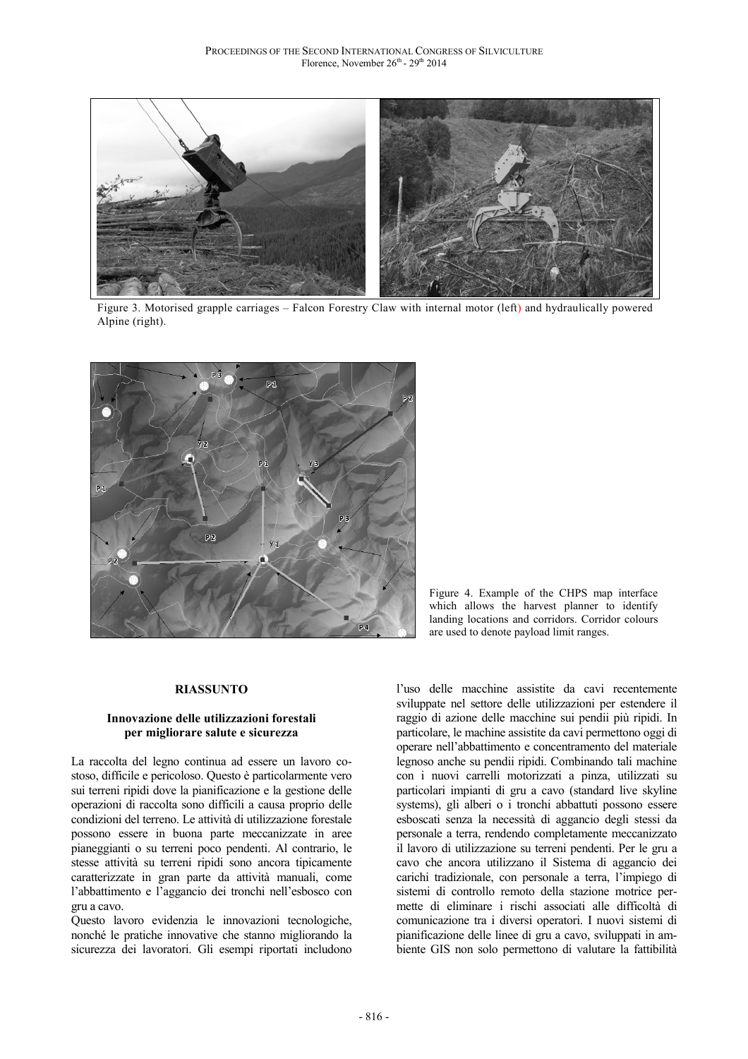

Figure 3. Motorised grapple carriages – Falcon Forestry Claw with internal motor (left) and hydraulically powered Alpine (right).



Figure 4. Example of the CHPS map interface which allows the harvest planner to identify landing locations and corridors. Corridor colours are used to denote payload limit ranges.

#### **RIASSUNTO**

## **Innovazione delle utilizzazioni forestali per migliorare salute e sicurezza**

La raccolta del legno continua ad essere un lavoro costoso, difficile e pericoloso. Questo è particolarmente vero sui terreni ripidi dove la pianificazione e la gestione delle operazioni di raccolta sono difficili a causa proprio delle condizioni del terreno. Le attività di utilizzazione forestale possono essere in buona parte meccanizzate in aree pianeggianti o su terreni poco pendenti. Al contrario, le stesse attività su terreni ripidi sono ancora tipicamente caratterizzate in gran parte da attività manuali, come l'abbattimento e l'aggancio dei tronchi nell'esbosco con gru a cavo.

Questo lavoro evidenzia le innovazioni tecnologiche, nonché le pratiche innovative che stanno migliorando la sicurezza dei lavoratori. Gli esempi riportati includono

l'uso delle macchine assistite da cavi recentemente sviluppate nel settore delle utilizzazioni per estendere il raggio di azione delle macchine sui pendii più ripidi. In particolare, le machine assistite da cavi permettono oggi di operare nell'abbattimento e concentramento del materiale legnoso anche su pendii ripidi. Combinando tali machine con i nuovi carrelli motorizzati a pinza, utilizzati su particolari impianti di gru a cavo (standard live skyline systems), gli alberi o i tronchi abbattuti possono essere esboscati senza la necessità di aggancio degli stessi da personale a terra, rendendo completamente meccanizzato il lavoro di utilizzazione su terreni pendenti. Per le gru a cavo che ancora utilizzano il Sistema di aggancio dei carichi tradizionale, con personale a terra, l'impiego di sistemi di controllo remoto della stazione motrice permette di eliminare i rischi associati alle difficoltà di comunicazione tra i diversi operatori. I nuovi sistemi di pianificazione delle linee di gru a cavo, sviluppati in ambiente GIS non solo permettono di valutare la fattibilità